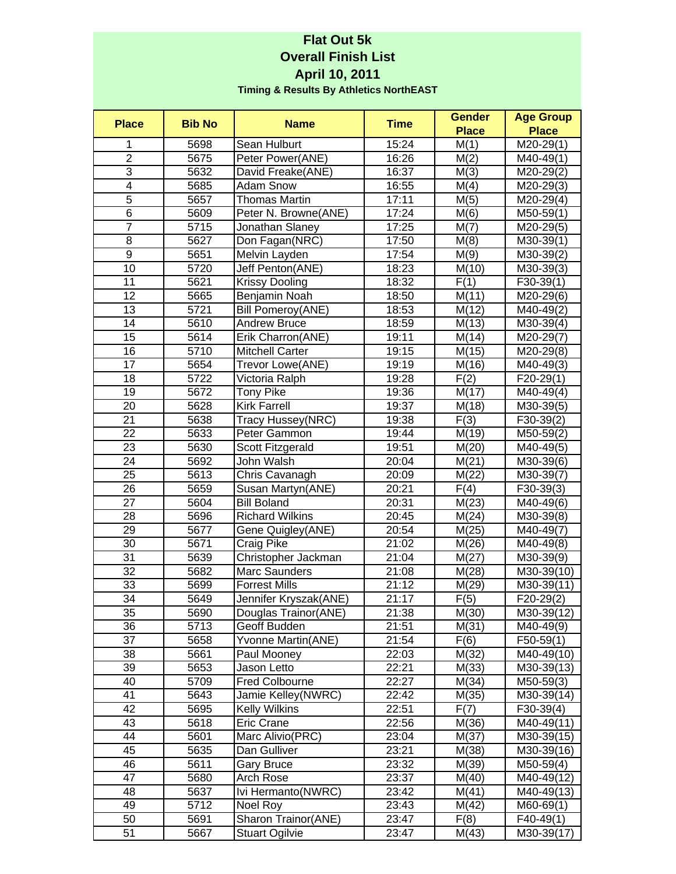## **Flat Out 5k Overall Finish List April 10, 2011 Timing & Results By Athletics NorthEAST**

| <b>Place</b>            | <b>Bib No</b> | <b>Name</b>              | <b>Time</b> | <b>Gender</b> | <b>Age Group</b>        |
|-------------------------|---------------|--------------------------|-------------|---------------|-------------------------|
|                         |               |                          |             | <b>Place</b>  | <b>Place</b>            |
| 1                       | 5698          | Sean Hulburt             | 15:24       | M(1)          | $M20-29(1)$             |
| $\overline{2}$          | 5675          | Peter Power(ANE)         | 16:26       | M(2)          | $\overline{M}$ 40-49(1) |
| $\overline{3}$          | 5632          | David Freake(ANE)        | 16:37       | M(3)          | $M20-29(2)$             |
| $\overline{\mathbf{4}}$ | 5685          | Adam Snow                | 16:55       | M(4)          | $M20-29(3)$             |
| 5                       | 5657          | <b>Thomas Martin</b>     | 17:11       | M(5)          | $M20-29(4)$             |
| $\overline{6}$          | 5609          | Peter N. Browne(ANE)     | 17:24       | M(6)          | $M50-59(1)$             |
| $\overline{7}$          | 5715          | Jonathan Slaney          | 17:25       | M(7)          | $M20-29(5)$             |
| 8                       | 5627          | Don Fagan(NRC)           | 17:50       | M(8)          | $M30-39(1)$             |
| $\boldsymbol{9}$        | 5651          | Melvin Layden            | 17:54       | M(9)          | M30-39(2)               |
| 10                      | 5720          | Jeff Penton(ANE)         | 18:23       | M(10)         | M30-39(3)               |
| 11                      | 5621          | <b>Krissy Dooling</b>    | 18:32       | F(1)          | $F30-39(1)$             |
| 12                      | 5665          | Benjamin Noah            | 18:50       | M(11)         | M20-29(6)               |
| 13                      | 5721          | <b>Bill Pomeroy(ANE)</b> | 18:53       | M(12)         | M40-49(2)               |
| 14                      | 5610          | <b>Andrew Bruce</b>      | 18:59       | M(13)         | $M30-39(4)$             |
| 15                      | 5614          | Erik Charron(ANE)        | 19:11       | M(14)         | M20-29(7)               |
| 16                      | 5710          | <b>Mitchell Carter</b>   | 19:15       | M(15)         | M20-29(8)               |
| 17                      | 5654          | Trevor Lowe(ANE)         | 19:19       | M(16)         | M40-49(3)               |
| 18                      | 5722          | Victoria Ralph           | 19:28       | F(2)          | $F20-29(1)$             |
| 19                      | 5672          | <b>Tony Pike</b>         | 19:36       | M(17)         | $M40-49(4)$             |
| 20                      | 5628          | <b>Kirk Farrell</b>      | 19:37       | M(18)         | M30-39(5)               |
| 21                      | 5638          | Tracy Hussey(NRC)        | 19:38       | F(3)          | $F30-39(2)$             |
| 22                      | 5633          | Peter Gammon             | 19:44       | M(19)         | $M50-59(2)$             |
| 23                      | 5630          | Scott Fitzgerald         | 19:51       | M(20)         | M40-49(5)               |
| 24                      | 5692          | John Walsh               | 20:04       | M(21)         | M30-39(6)               |
| 25                      | 5613          | Chris Cavanagh           | 20:09       | M(22)         | M30-39(7)               |
| 26                      | 5659          | Susan Martyn(ANE)        | 20:21       | F(4)          | $F30-39(3)$             |
| 27                      | 5604          | <b>Bill Boland</b>       | 20:31       | M(23)         | M40-49(6)               |
| 28                      | 5696          | <b>Richard Wilkins</b>   | 20:45       | M(24)         | M30-39(8)               |
| 29                      | 5677          | Gene Quigley(ANE)        | 20:54       | M(25)         | M40-49(7)               |
| 30                      | 5671          | Craig Pike               | 21:02       | M(26)         | M40-49(8)               |
| 31                      | 5639          | Christopher Jackman      | 21:04       | M(27)         | M30-39(9)               |
| 32                      | 5682          | Marc Saunders            | 21:08       | M(28)         | M30-39(10)              |
| 33                      | 5699          | <b>Forrest Mills</b>     | 21:12       | M(29)         | M30-39(11)              |
| 34                      | 5649          | Jennifer Kryszak(ANE)    | 21:17       | F(5)          | F20-29(2)               |
| 35                      | 5690          | Douglas Trainor(ANE)     | 21:38       | M(30)         | M30-39(12)              |
| 36                      | 5713          | Geoff Budden             | 21:51       | M(31)         | M40-49(9)               |
| 37                      | 5658          | Yvonne Martin(ANE)       | 21:54       | F(6)          | $F50-59(1)$             |
| 38                      | 5661          | Paul Mooney              | 22:03       | M(32)         | M40-49(10)              |
| 39                      | 5653          | Jason Letto              | 22:21       | M(33)         | M30-39(13)              |
| 40                      | 5709          | <b>Fred Colbourne</b>    | 22:27       | M(34)         | M50-59(3)               |
| 41                      | 5643          | Jamie Kelley(NWRC)       | 22:42       | M(35)         | M30-39(14)              |
| 42                      | 5695          | <b>Kelly Wilkins</b>     | 22:51       | F(7)          | $F30-39(4)$             |
| 43                      | 5618          | Eric Crane               | 22:56       | M(36)         | M40-49(11)              |
| 44                      | 5601          | Marc Alivio(PRC)         | 23:04       | M(37)         | M30-39(15)              |
| 45                      | 5635          | Dan Gulliver             | 23:21       | M(38)         | M30-39(16)              |
| 46                      | 5611          | <b>Gary Bruce</b>        | 23:32       | M(39)         | $M50-59(4)$             |
| 47                      | 5680          | Arch Rose                | 23:37       | M(40)         | M40-49(12)              |
| 48                      | 5637          | Ivi Hermanto(NWRC)       | 23:42       | M(41)         | M40-49(13)              |
| 49                      | 5712          | Noel Roy                 | 23:43       | M(42)         | $M60-69(1)$             |
| 50                      | 5691          | Sharon Trainor(ANE)      | 23:47       | F(8)          | $F40-49(1)$             |
| 51                      | 5667          | <b>Stuart Ogilvie</b>    | 23:47       | M(43)         | M30-39(17)              |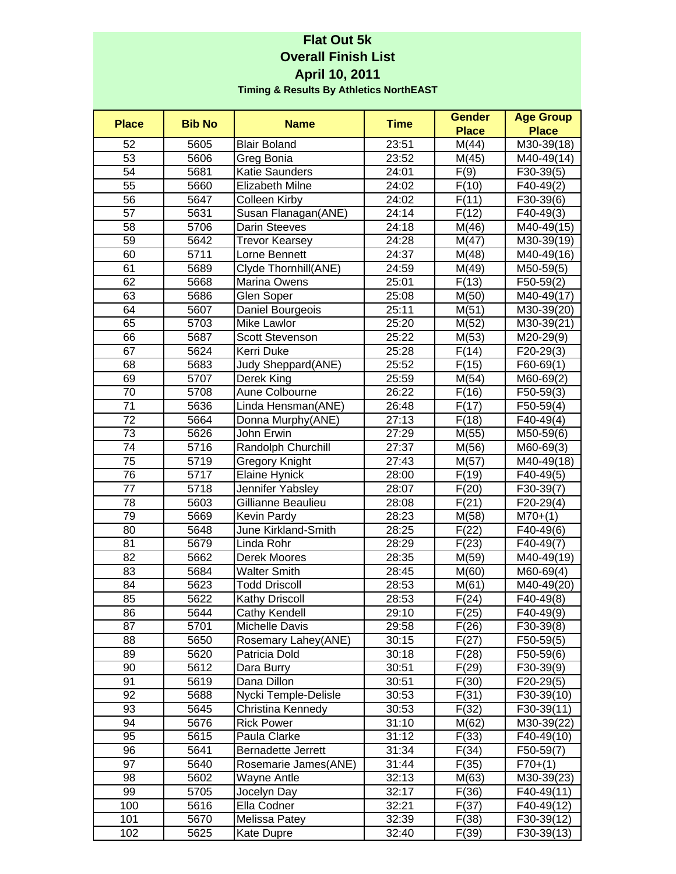## **Flat Out 5k Overall Finish List April 10, 2011 Timing & Results By Athletics NorthEAST**

| <b>Place</b> | <b>Bib No</b> | <b>Name</b>            | <b>Time</b> | <b>Gender</b>  | <b>Age Group</b>         |
|--------------|---------------|------------------------|-------------|----------------|--------------------------|
|              |               |                        |             | <b>Place</b>   | <b>Place</b>             |
| 52           | 5605          | <b>Blair Boland</b>    | 23:51       | M(44)          | $\overline{M}$ 30-39(18) |
| 53           | 5606          | Greg Bonia             | 23:52       | M(45)          | M40-49(14)               |
| 54           | 5681          | <b>Katie Saunders</b>  | 24:01       | F(9)           | $F30-39(5)$              |
| 55           | 5660          | Elizabeth Milne        | 24:02       | F(10)          | $F40-49(2)$              |
| 56           | 5647          | Colleen Kirby          | 24:02       | F(11)          | $F30-39(6)$              |
| 57           | 5631          | Susan Flanagan(ANE)    | 24:14       | F(12)          | $F40-49(3)$              |
| 58           | 5706          | <b>Darin Steeves</b>   | 24:18       | M(46)          | M40-49(15)               |
| 59           | 5642          | <b>Trevor Kearsey</b>  | 24:28       | M(47)          | M30-39(19)               |
| 60           | 5711          | Lorne Bennett          | 24:37       | M(48)          | M40-49(16)               |
| 61           | 5689          | Clyde Thornhill(ANE)   | 24:59       | M(49)          | M50-59(5)                |
| 62           | 5668          | Marina Owens           | 25:01       | F(13)          | $F50-59(2)$              |
| 63           | 5686          | Glen Soper             | 25:08       | M(50)          | M40-49(17)               |
| 64           | 5607          | Daniel Bourgeois       | 25:11       | M(51)          | M30-39(20)               |
| 65           | 5703          | Mike Lawlor            | 25:20       | M(52)          | M30-39(21)               |
| 66           | 5687          | <b>Scott Stevenson</b> | 25:22       | M(53)          | M20-29(9)                |
| 67           | 5624          | Kerri Duke             | 25:28       | F(14)          | $F20-29(3)$              |
| 68           | 5683          | Judy Sheppard(ANE)     | 25:52       | F(15)          | $F60-69(1)$              |
| 69           | 5707          | Derek King             | 25:59       | M(54)          | M60-69(2)                |
| 70           | 5708          | Aune Colbourne         | 26:22       | F(16)          | $F50-59(3)$              |
| 71           | 5636          | Linda Hensman(ANE)     | 26:48       | F(17)          | $F50-59(4)$              |
| 72           | 5664          | Donna Murphy(ANE)      | 27:13       | F(18)          | $F40-49(4)$              |
| 73           | 5626          | John Erwin             | 27:29       | M(55)          | M50-59(6)                |
| 74           | 5716          | Randolph Churchill     | 27:37       | M(56)          | M60-69(3)                |
| 75           | 5719          | Gregory Knight         | 27:43       | M(57)          | M40-49(18)               |
| 76           | 5717          | <b>Elaine Hynick</b>   | 28:00       | F(19)          | $F40-49(5)$              |
| 77           | 5718          | Jennifer Yabsley       | 28:07       | F(20)          | $F30-39(7)$              |
| 78           | 5603          | Gillianne Beaulieu     | 28:08       | F(21)          | $F20-29(4)$              |
| 79           | 5669          | Kevin Pardy            | 28:23       | M(58)          | $M70+(1)$                |
| 80           | 5648          | June Kirkland-Smith    | 28:25       | F(22)          | F40-49(6)                |
| 81           | 5679          | Linda Rohr             | 28:29       | F(23)          | F40-49(7)                |
| 82           | 5662          | Derek Moores           | 28:35       | M(59)          | M40-49(19)               |
| 83           | 5684          | <b>Walter Smith</b>    | 28:45       | M(60)          | M60-69(4)                |
| 84           | 5623          | <b>Todd Driscoll</b>   | 28:53       | M(61)          | M40-49(20)               |
| 85           | 5622          | <b>Kathy Driscoll</b>  | 28:53       | F(24)          | F40-49(8)                |
| 86           | 5644          | Cathy Kendell          | 29:10       | F(25)          | $F40-49(9)$              |
| 87           | 5701          | Michelle Davis         | 29:58       | F(26)          | $F30-39(8)$              |
| 88           | 5650          | Rosemary Lahey(ANE)    | 30:15       | F(27)          | $F50-59(5)$              |
| 89           | 5620          | Patricia Dold          | 30:18       | F(28)          | F50-59(6)                |
| 90           | 5612          | Dara Burry             | 30:51       | F(29)          | $F30-39(9)$              |
| 91           | 5619          | Dana Dillon            | 30:51       | F(30)          | $F20-29(5)$              |
| 92           | 5688          | Nycki Temple-Delisle   | 30:53       | F(31)          | F30-39(10)               |
| 93           | 5645          | Christina Kennedy      | 30:53       | F(32)          | F30-39(11)               |
| 94           | 5676          | <b>Rick Power</b>      | 31:10       |                |                          |
| 95           | 5615          | Paula Clarke           | 31:12       | M(62)<br>F(33) | M30-39(22)<br>F40-49(10) |
| 96           |               |                        |             |                |                          |
| 97           | 5641          | Bernadette Jerrett     | 31:34       | F(34)          | $F50-59(7)$              |
|              | 5640          | Rosemarie James(ANE)   | 31:44       | F(35)          | $F70+(1)$                |
| 98           | 5602          | Wayne Antle            | 32:13       | M(63)          | M30-39(23)               |
| 99           | 5705          | Jocelyn Day            | 32:17       | F(36)          | F40-49(11)               |
| 100          | 5616          | Ella Codner            | 32:21       | F(37)          | F40-49(12)               |
| 101          | 5670          | Melissa Patey          | 32:39       | F(38)          | F30-39(12)               |
| 102          | 5625          | Kate Dupre             | 32:40       | F(39)          | F30-39(13)               |